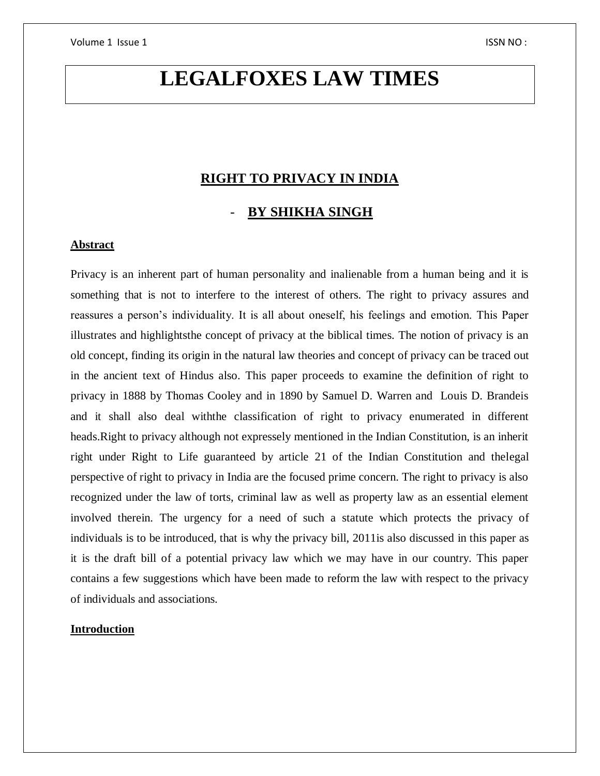# **LEGALFOXES LAW TIMES**

## **RIGHT TO PRIVACY IN INDIA**

## - **BY SHIKHA SINGH**

#### **Abstract**

Privacy is an inherent part of human personality and inalienable from a human being and it is something that is not to interfere to the interest of others. The right to privacy assures and reassures a person's individuality. It is all about oneself, his feelings and emotion. This Paper illustrates and highlightsthe concept of privacy at the biblical times. The notion of privacy is an old concept, finding its origin in the natural law theories and concept of privacy can be traced out in the ancient text of Hindus also. This paper proceeds to examine the definition of right to privacy in 1888 by Thomas Cooley and in 1890 by Samuel D. Warren and Louis D. Brandeis and it shall also deal withthe classification of right to privacy enumerated in different heads.Right to privacy although not expressely mentioned in the Indian Constitution, is an inherit right under Right to Life guaranteed by article 21 of the Indian Constitution and thelegal perspective of right to privacy in India are the focused prime concern. The right to privacy is also recognized under the law of torts, criminal law as well as property law as an essential element involved therein. The urgency for a need of such a statute which protects the privacy of individuals is to be introduced, that is why the privacy bill, 2011is also discussed in this paper as it is the draft bill of a potential privacy law which we may have in our country. This paper contains a few suggestions which have been made to reform the law with respect to the privacy of individuals and associations.

#### **Introduction**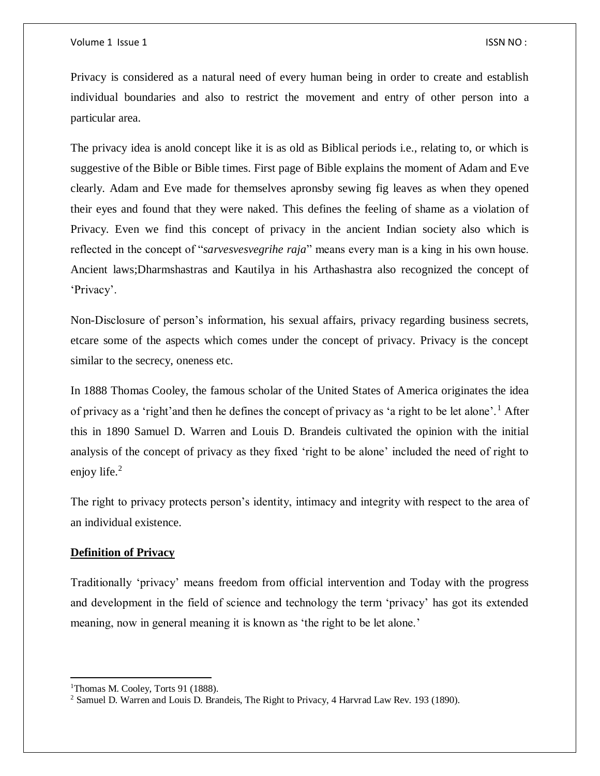Privacy is considered as a natural need of every human being in order to create and establish individual boundaries and also to restrict the movement and entry of other person into a particular area.

The privacy idea is anold concept like it is as old as Biblical periods i.e., relating to, or which is suggestive of the Bible or Bible times. First page of Bible explains the moment of Adam and Eve clearly. Adam and Eve made for themselves apronsby sewing fig leaves as when they opened their eyes and found that they were naked. This defines the feeling of shame as a violation of Privacy. Even we find this concept of privacy in the ancient Indian society also which is reflected in the concept of "*sarvesvesvegrihe raja*" means every man is a king in his own house. Ancient laws;Dharmshastras and Kautilya in his Arthashastra also recognized the concept of 'Privacy'.

Non-Disclosure of person's information, his sexual affairs, privacy regarding business secrets, etcare some of the aspects which comes under the concept of privacy. Privacy is the concept similar to the secrecy, oneness etc.

In 1888 Thomas Cooley, the famous scholar of the United States of America originates the idea of privacy as a 'right'and then he defines the concept of privacy as 'a right to be let alone'. <sup>1</sup> After this in 1890 Samuel D. Warren and Louis D. Brandeis cultivated the opinion with the initial analysis of the concept of privacy as they fixed 'right to be alone' included the need of right to enjoy life. $2$ 

The right to privacy protects person's identity, intimacy and integrity with respect to the area of an individual existence.

#### **Definition of Privacy**

Traditionally 'privacy' means freedom from official intervention and Today with the progress and development in the field of science and technology the term 'privacy' has got its extended meaning, now in general meaning it is known as 'the right to be let alone.'

 $\overline{\phantom{a}}$ 

<sup>&</sup>lt;sup>1</sup>Thomas M. Cooley, Torts 91 (1888).

<sup>&</sup>lt;sup>2</sup> Samuel D. Warren and Louis D. Brandeis, The Right to Privacy, 4 Harvrad Law Rev. 193 (1890).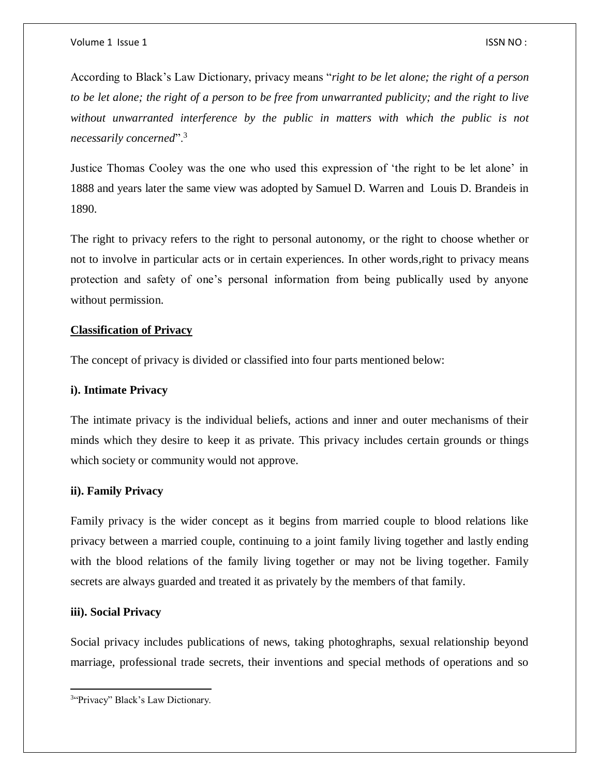According to Black's Law Dictionary, privacy means "*right to be let alone; the right of a person to be let alone; the right of a person to be free from unwarranted publicity; and the right to live without unwarranted interference by the public in matters with which the public is not necessarily concerned*".<sup>3</sup>

Justice Thomas Cooley was the one who used this expression of 'the right to be let alone' in 1888 and years later the same view was adopted by Samuel D. Warren and Louis D. Brandeis in 1890.

The right to privacy refers to the right to personal autonomy, or the right to choose whether or not to involve in particular acts or in certain experiences. In other words,right to privacy means protection and safety of one's personal information from being publically used by anyone without permission.

### **Classification of Privacy**

The concept of privacy is divided or classified into four parts mentioned below:

#### **i). Intimate Privacy**

The intimate privacy is the individual beliefs, actions and inner and outer mechanisms of their minds which they desire to keep it as private. This privacy includes certain grounds or things which society or community would not approve.

## **ii). Family Privacy**

Family privacy is the wider concept as it begins from married couple to blood relations like privacy between a married couple, continuing to a joint family living together and lastly ending with the blood relations of the family living together or may not be living together. Family secrets are always guarded and treated it as privately by the members of that family.

## **iii). Social Privacy**

 $\overline{a}$ 

Social privacy includes publications of news, taking photoghraphs, sexual relationship beyond marriage, professional trade secrets, their inventions and special methods of operations and so

<sup>&</sup>lt;sup>3"</sup>Privacy" Black's Law Dictionary.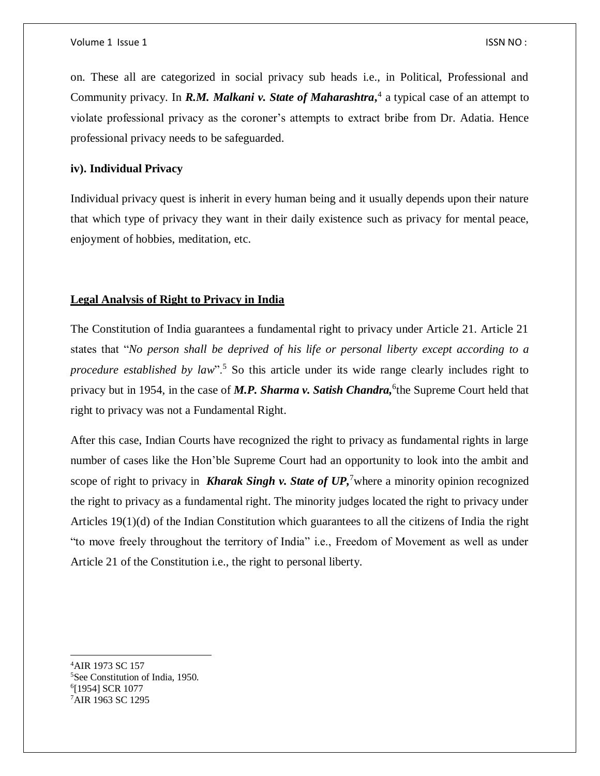on. These all are categorized in social privacy sub heads i.e., in Political, Professional and Community privacy. In *R.M. Malkani v. State of Maharashtra***,** 4 a typical case of an attempt to violate professional privacy as the coroner's attempts to extract bribe from Dr. Adatia. Hence professional privacy needs to be safeguarded.

### **iv). Individual Privacy**

Individual privacy quest is inherit in every human being and it usually depends upon their nature that which type of privacy they want in their daily existence such as privacy for mental peace, enjoyment of hobbies, meditation, etc.

#### **Legal Analysis of Right to Privacy in India**

The Constitution of India guarantees a fundamental right to privacy under Article 21. Article 21 states that "*No person shall be deprived of his life or personal liberty except according to a procedure established by law*".<sup>5</sup> So this article under its wide range clearly includes right to privacy but in 1954, in the case of M.P. Sharma v. Satish Chandra, <sup>6</sup>the Supreme Court held that right to privacy was not a Fundamental Right.

After this case, Indian Courts have recognized the right to privacy as fundamental rights in large number of cases like the Hon'ble Supreme Court had an opportunity to look into the ambit and scope of right to privacy in **Kharak Singh v. State of UP**,<sup>7</sup> where a minority opinion recognized the right to privacy as a fundamental right. The minority judges located the right to privacy under Articles 19(1)(d) of the Indian Constitution which guarantees to all the citizens of India the right "to move freely throughout the territory of India" i.e., Freedom of Movement as well as under Article 21 of the Constitution i.e., the right to personal liberty.

 $\overline{a}$ 

<sup>4</sup>AIR 1973 SC 157 <sup>5</sup>See Constitution of India, 1950. 6 [1954] SCR 1077 7AIR 1963 SC 1295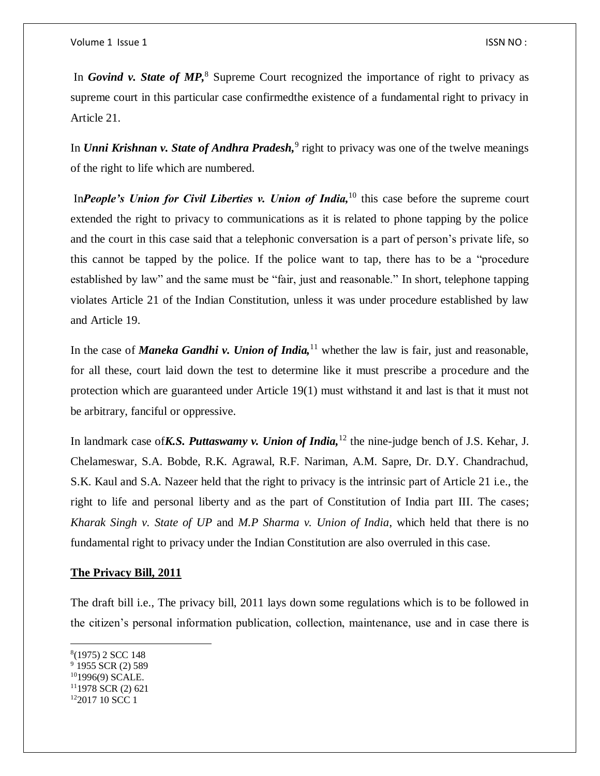In *Govind v. State of MP*<sup>8</sup> Supreme Court recognized the importance of right to privacy as supreme court in this particular case confirmedthe existence of a fundamental right to privacy in Article 21.

In *Unni Krishnan v. State of Andhra Pradesh*,<sup>9</sup> right to privacy was one of the twelve meanings of the right to life which are numbered.

In*People's Union for Civil Liberties v. Union of India*,<sup>10</sup> this case before the supreme court extended the right to privacy to communications as it is related to phone tapping by the police and the court in this case said that a telephonic conversation is a part of person's private life, so this cannot be tapped by the police. If the police want to tap, there has to be a "procedure established by law" and the same must be "fair, just and reasonable." In short, telephone tapping violates Article 21 of the Indian Constitution, unless it was under procedure established by law and Article 19.

In the case of *Maneka Gandhi v. Union of India*,<sup>11</sup> whether the law is fair, just and reasonable, for all these, court laid down the test to determine like it must prescribe a procedure and the protection which are guaranteed under Article 19(1) must withstand it and last is that it must not be arbitrary, fanciful or oppressive.

In landmark case of*K.S. Puttaswamy v. Union of India,*<sup>12</sup> the nine-judge bench of J.S. Kehar, J. Chelameswar, S.A. Bobde, R.K. Agrawal, R.F. Nariman, A.M. Sapre, Dr. D.Y. Chandrachud, S.K. Kaul and S.A. Nazeer held that the right to privacy is the intrinsic part of Article 21 i.e., the right to life and personal liberty and as the part of Constitution of India part III. The cases; *Kharak Singh v. State of UP* and *M.P Sharma v. Union of India*, which held that there is no fundamental right to privacy under the Indian Constitution are also overruled in this case.

#### **The Privacy Bill, 2011**

The draft bill i.e., The privacy bill, 2011 lays down some regulations which is to be followed in the citizen's personal information publication, collection, maintenance, use and in case there is

 $\overline{\phantom{a}}$ 

 $101996(9)$  SCALE.

<sup>8</sup> (1975) 2 SCC 148

 $9$  1955 SCR (2) 589

<sup>11</sup>1978 SCR (2) 621

<sup>12</sup>2017 10 SCC 1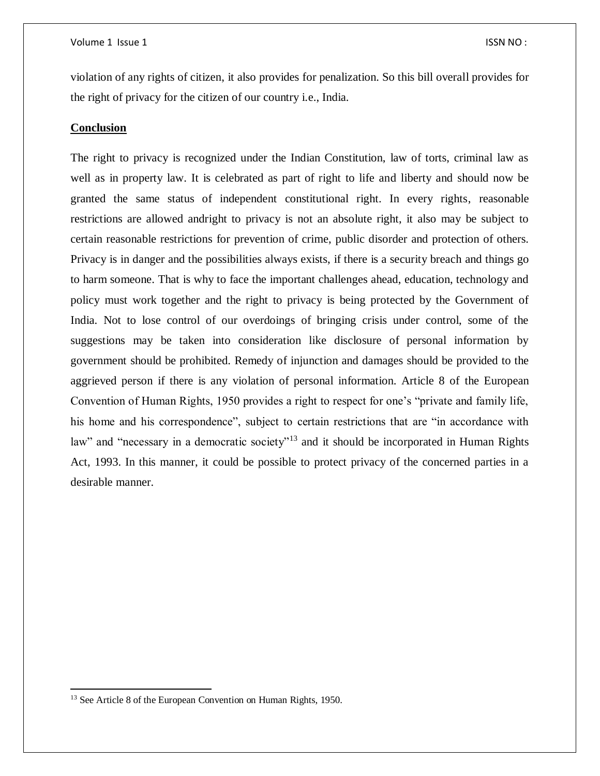violation of any rights of citizen, it also provides for penalization. So this bill overall provides for the right of privacy for the citizen of our country i.e., India.

#### **Conclusion**

The right to privacy is recognized under the Indian Constitution, law of torts, criminal law as well as in property law. It is celebrated as part of right to life and liberty and should now be granted the same status of independent constitutional right. In every rights, reasonable restrictions are allowed andright to privacy is not an absolute right, it also may be subject to certain reasonable restrictions for prevention of crime, public disorder and protection of others. Privacy is in danger and the possibilities always exists, if there is a security breach and things go to harm someone. That is why to face the important challenges ahead, education, technology and policy must work together and the right to privacy is being protected by the Government of India. Not to lose control of our overdoings of bringing crisis under control, some of the suggestions may be taken into consideration like disclosure of personal information by government should be prohibited. Remedy of injunction and damages should be provided to the aggrieved person if there is any violation of personal information. Article 8 of the European Convention of Human Rights, 1950 provides a right to respect for one's "private and family life, his home and his correspondence", subject to certain restrictions that are "in accordance with law" and "necessary in a democratic society"<sup>13</sup> and it should be incorporated in Human Rights Act, 1993. In this manner, it could be possible to protect privacy of the concerned parties in a desirable manner.

 $\overline{a}$ 

<sup>&</sup>lt;sup>13</sup> See Article 8 of the European Convention on Human Rights, 1950.